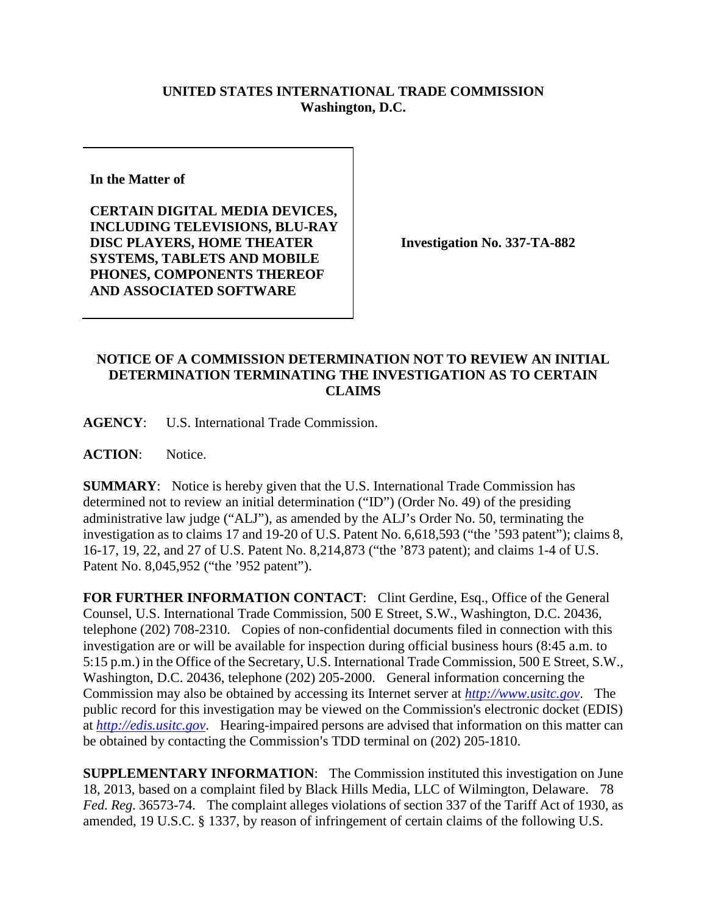## **UNITED STATES INTERNATIONAL TRADE COMMISSION Washington, D.C.**

**In the Matter of** 

**CERTAIN DIGITAL MEDIA DEVICES, INCLUDING TELEVISIONS, BLU-RAY DISC PLAYERS, HOME THEATER SYSTEMS, TABLETS AND MOBILE PHONES, COMPONENTS THEREOF AND ASSOCIATED SOFTWARE**

**Investigation No. 337-TA-882**

## **NOTICE OF A COMMISSION DETERMINATION NOT TO REVIEW AN INITIAL DETERMINATION TERMINATING THE INVESTIGATION AS TO CERTAIN CLAIMS**

**AGENCY**: U.S. International Trade Commission.

**ACTION**: Notice.

**SUMMARY**: Notice is hereby given that the U.S. International Trade Commission has determined not to review an initial determination ("ID") (Order No. 49) of the presiding administrative law judge ("ALJ"), as amended by the ALJ's Order No. 50, terminating the investigation as to claims 17 and 19-20 of U.S. Patent No. 6,618,593 ("the '593 patent"); claims 8, 16-17, 19, 22, and 27 of U.S. Patent No. 8,214,873 ("the '873 patent); and claims 1-4 of U.S. Patent No. 8,045,952 ("the '952 patent").

FOR FURTHER INFORMATION CONTACT: Clint Gerdine, Esq., Office of the General Counsel, U.S. International Trade Commission, 500 E Street, S.W., Washington, D.C. 20436, telephone (202) 708-2310. Copies of non-confidential documents filed in connection with this investigation are or will be available for inspection during official business hours (8:45 a.m. to 5:15 p.m.) in the Office of the Secretary, U.S. International Trade Commission, 500 E Street, S.W., Washington, D.C. 20436, telephone (202) 205-2000. General information concerning the Commission may also be obtained by accessing its Internet server at *[http://www.usitc.gov](http://www.usitc.gov/)*. The public record for this investigation may be viewed on the Commission's electronic docket (EDIS) at *[http://edis.usitc.gov](http://edis.usitc.gov/)*. Hearing-impaired persons are advised that information on this matter can be obtained by contacting the Commission's TDD terminal on  $(202)$  205-1810.

**SUPPLEMENTARY INFORMATION**: The Commission instituted this investigation on June 18, 2013, based on a complaint filed by Black Hills Media, LLC of Wilmington, Delaware. 78 *Fed. Reg.* 36573-74. The complaint alleges violations of section 337 of the Tariff Act of 1930, as amended, 19 U.S.C. § 1337, by reason of infringement of certain claims of the following U.S.